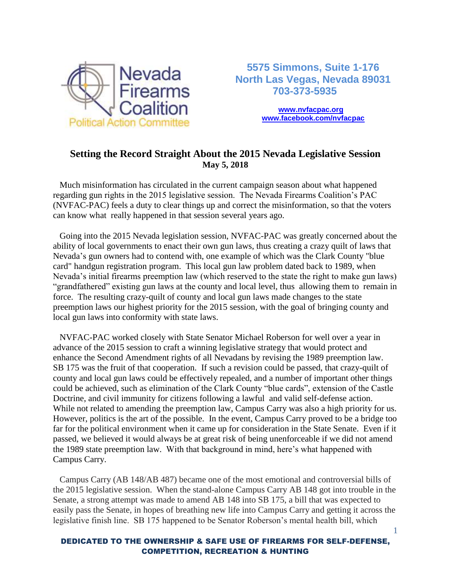

 **5575 Simmons, Suite 1-176 North Las Vegas, Nevada 89031 703-373-5935**

> **[www.nvfacpac.org](http://www.nvfacpac.org/) [www.facebook.com/nvfacp](http://www.facebook.com/nvfac)ac**

## **Setting the Record Straight About the 2015 Nevada Legislative Session May 5, 2018**

 Much misinformation has circulated in the current campaign season about what happened regarding gun rights in the 2015 legislative session. The Nevada Firearms Coalition's PAC (NVFAC-PAC) feels a duty to clear things up and correct the misinformation, so that the voters can know what really happened in that session several years ago.

 Going into the 2015 Nevada legislation session, NVFAC-PAC was greatly concerned about the ability of local governments to enact their own gun laws, thus creating a crazy quilt of laws that Nevada's gun owners had to contend with, one example of which was the Clark County "blue card" handgun registration program. This local gun law problem dated back to 1989, when Nevada's initial firearms preemption law (which reserved to the state the right to make gun laws) "grandfathered" existing gun laws at the county and local level, thus allowing them to remain in force. The resulting crazy-quilt of county and local gun laws made changes to the state preemption laws our highest priority for the 2015 session, with the goal of bringing county and local gun laws into conformity with state laws.

 NVFAC-PAC worked closely with State Senator Michael Roberson for well over a year in advance of the 2015 session to craft a winning legislative strategy that would protect and enhance the Second Amendment rights of all Nevadans by revising the 1989 preemption law. SB 175 was the fruit of that cooperation. If such a revision could be passed, that crazy-quilt of county and local gun laws could be effectively repealed, and a number of important other things could be achieved, such as elimination of the Clark County "blue cards", extension of the Castle Doctrine, and civil immunity for citizens following a lawful and valid self-defense action. While not related to amending the preemption law, Campus Carry was also a high priority for us. However, politics is the art of the possible. In the event, Campus Carry proved to be a bridge too far for the political environment when it came up for consideration in the State Senate. Even if it passed, we believed it would always be at great risk of being unenforceable if we did not amend the 1989 state preemption law. With that background in mind, here's what happened with Campus Carry.

 Campus Carry (AB 148/AB 487) became one of the most emotional and controversial bills of the 2015 legislative session. When the stand-alone Campus Carry AB 148 got into trouble in the Senate, a strong attempt was made to amend AB 148 into SB 175, a bill that was expected to easily pass the Senate, in hopes of breathing new life into Campus Carry and getting it across the legislative finish line. SB 175 happened to be Senator Roberson's mental health bill, which

## DEDICATED TO THE OWNERSHIP & SAFE USE OF FIREARMS FOR SELF-DEFENSE, COMPETITION, RECREATION & HUNTING

1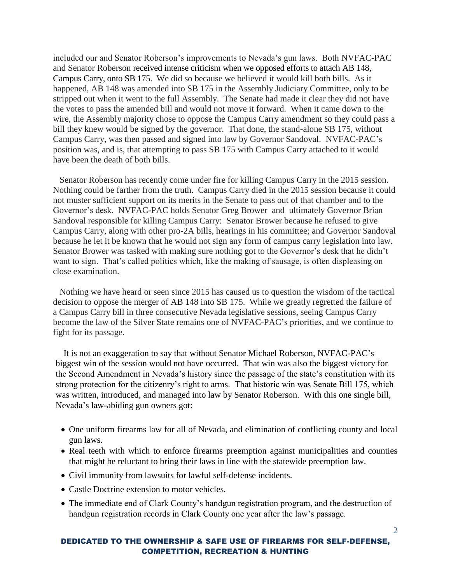included our and Senator Roberson's improvements to Nevada's gun laws. Both NVFAC-PAC and Senator Roberson received intense criticism when we opposed efforts to attach AB 148, Campus Carry, onto SB 175. We did so because we believed it would kill both bills. As it happened, AB 148 was amended into SB 175 in the Assembly Judiciary Committee, only to be stripped out when it went to the full Assembly. The Senate had made it clear they did not have the votes to pass the amended bill and would not move it forward. When it came down to the wire, the Assembly majority chose to oppose the Campus Carry amendment so they could pass a bill they knew would be signed by the governor. That done, the stand-alone SB 175, without Campus Carry, was then passed and signed into law by Governor Sandoval. NVFAC-PAC's position was, and is, that attempting to pass SB 175 with Campus Carry attached to it would have been the death of both bills.

 Senator Roberson has recently come under fire for killing Campus Carry in the 2015 session. Nothing could be farther from the truth. Campus Carry died in the 2015 session because it could not muster sufficient support on its merits in the Senate to pass out of that chamber and to the Governor's desk. NVFAC-PAC holds Senator Greg Brower and ultimately Governor Brian Sandoval responsible for killing Campus Carry: Senator Brower because he refused to give Campus Carry, along with other pro-2A bills, hearings in his committee; and Governor Sandoval because he let it be known that he would not sign any form of campus carry legislation into law. Senator Brower was tasked with making sure nothing got to the Governor's desk that he didn't want to sign. That's called politics which, like the making of sausage, is often displeasing on close examination.

 Nothing we have heard or seen since 2015 has caused us to question the wisdom of the tactical decision to oppose the merger of AB 148 into SB 175. While we greatly regretted the failure of a Campus Carry bill in three consecutive Nevada legislative sessions, seeing Campus Carry become the law of the Silver State remains one of NVFAC-PAC's priorities, and we continue to fight for its passage.

It is not an exaggeration to say that without Senator Michael Roberson, NVFAC-PAC's biggest win of the session would not have occurred. That win was also the biggest victory for the Second Amendment in Nevada's history since the passage of the state's constitution with its strong protection for the citizenry's right to arms. That historic win was Senate Bill 175, which was written, introduced, and managed into law by Senator Roberson. With this one single bill, Nevada's law-abiding gun owners got:

- One uniform firearms law for all of Nevada, and elimination of conflicting county and local gun laws.
- Real teeth with which to enforce firearms preemption against municipalities and counties that might be reluctant to bring their laws in line with the statewide preemption law.
- Civil immunity from lawsuits for lawful self-defense incidents.
- Castle Doctrine extension to motor vehicles.
- The immediate end of Clark County's handgun registration program, and the destruction of handgun registration records in Clark County one year after the law's passage.

## DEDICATED TO THE OWNERSHIP & SAFE USE OF FIREARMS FOR SELF-DEFENSE, COMPETITION, RECREATION & HUNTING